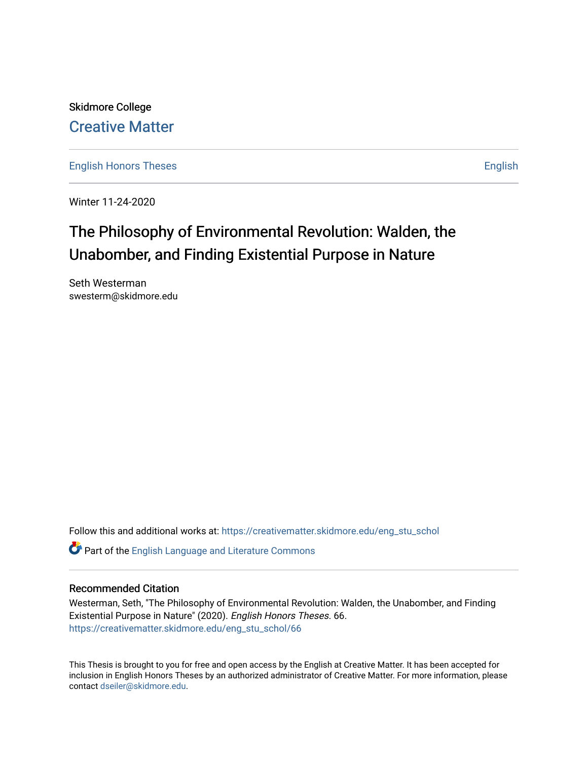Skidmore College [Creative Matter](https://creativematter.skidmore.edu/) 

[English Honors Theses](https://creativematter.skidmore.edu/eng_stu_schol) **English** English

Winter 11-24-2020

# The Philosophy of Environmental Revolution: Walden, the Unabomber, and Finding Existential Purpose in Nature

Seth Westerman swesterm@skidmore.edu

Follow this and additional works at: [https://creativematter.skidmore.edu/eng\\_stu\\_schol](https://creativematter.skidmore.edu/eng_stu_schol?utm_source=creativematter.skidmore.edu%2Feng_stu_schol%2F66&utm_medium=PDF&utm_campaign=PDFCoverPages) 

Part of the [English Language and Literature Commons](https://network.bepress.com/hgg/discipline/455?utm_source=creativematter.skidmore.edu%2Feng_stu_schol%2F66&utm_medium=PDF&utm_campaign=PDFCoverPages)

## Recommended Citation

Westerman, Seth, "The Philosophy of Environmental Revolution: Walden, the Unabomber, and Finding Existential Purpose in Nature" (2020). English Honors Theses. 66. [https://creativematter.skidmore.edu/eng\\_stu\\_schol/66](https://creativematter.skidmore.edu/eng_stu_schol/66?utm_source=creativematter.skidmore.edu%2Feng_stu_schol%2F66&utm_medium=PDF&utm_campaign=PDFCoverPages)

This Thesis is brought to you for free and open access by the English at Creative Matter. It has been accepted for inclusion in English Honors Theses by an authorized administrator of Creative Matter. For more information, please contact [dseiler@skidmore.edu.](mailto:dseiler@skidmore.edu)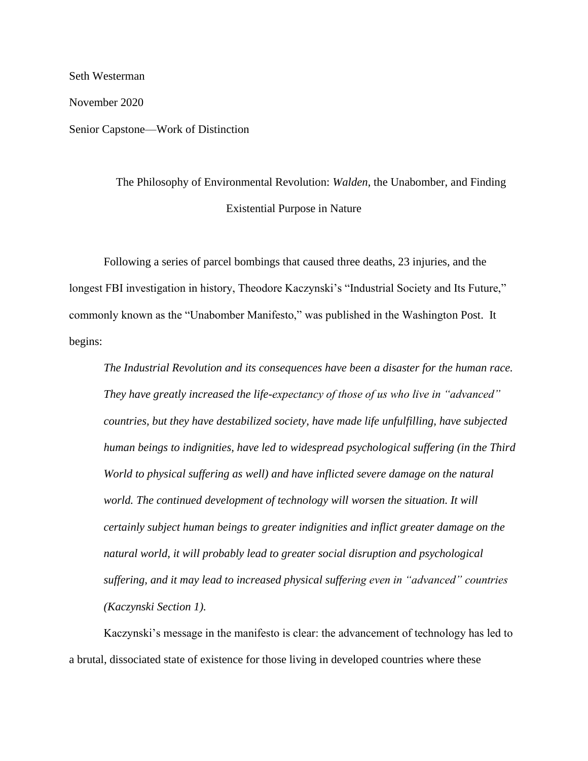November 2020 Senior Capstone—Work of Distinction

Seth Westerman

The Philosophy of Environmental Revolution: *Walden*, the Unabomber, and Finding Existential Purpose in Nature

Following a series of parcel bombings that caused three deaths, 23 injuries, and the longest FBI investigation in history, Theodore Kaczynski's "Industrial Society and Its Future," commonly known as the "Unabomber Manifesto," was published in the Washington Post. It begins:

*The Industrial Revolution and its consequences have been a disaster for the human race. They have greatly increased the life-expectancy of those of us who live in "advanced" countries, but they have destabilized society, have made life unfulfilling, have subjected human beings to indignities, have led to widespread psychological suffering (in the Third World to physical suffering as well) and have inflicted severe damage on the natural*  world. The continued development of technology will worsen the situation. It will *certainly subject human beings to greater indignities and inflict greater damage on the natural world, it will probably lead to greater social disruption and psychological suffering, and it may lead to increased physical suffering even in "advanced" countries (Kaczynski Section 1).*

Kaczynski's message in the manifesto is clear: the advancement of technology has led to a brutal, dissociated state of existence for those living in developed countries where these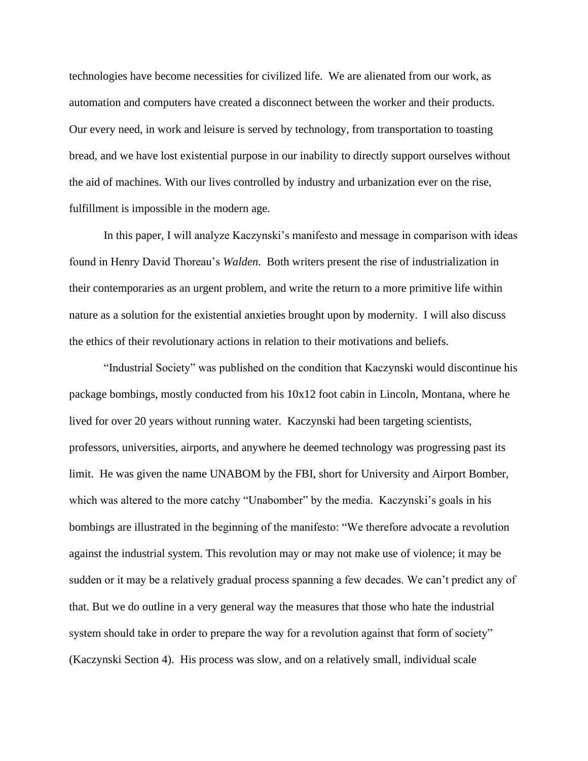technologies have become necessities for civilized life. We are alienated from our work, as automation and computers have created a disconnect between the worker and their products. Our every need, in work and leisure is served by technology, from transportation to toasting bread, and we have lost existential purpose in our inability to directly support ourselves without the aid of machines. With our lives controlled by industry and urbanization ever on the rise, fulfillment is impossible in the modern age.

In this paper, I will analyze Kaczynski's manifesto and message in comparison with ideas found in Henry David Thoreau's *Walden*. Both writers present the rise of industrialization in their contemporaries as an urgent problem, and write the return to a more primitive life within nature as a solution for the existential anxieties brought upon by modernity. I will also discuss the ethics of their revolutionary actions in relation to their motivations and beliefs.

"Industrial Society" was published on the condition that Kaczynski would discontinue his package bombings, mostly conducted from his 10x12 foot cabin in Lincoln, Montana, where he lived for over 20 years without running water. Kaczynski had been targeting scientists, professors, universities, airports, and anywhere he deemed technology was progressing past its limit. He was given the name UNABOM by the FBI, short for University and Airport Bomber, which was altered to the more catchy "Unabomber" by the media. Kaczynski's goals in his bombings are illustrated in the beginning of the manifesto: "We therefore advocate a revolution against the industrial system. This revolution may or may not make use of violence; it may be sudden or it may be a relatively gradual process spanning a few decades. We can't predict any of that. But we do outline in a very general way the measures that those who hate the industrial system should take in order to prepare the way for a revolution against that form of society" (Kaczynski Section 4). His process was slow, and on a relatively small, individual scale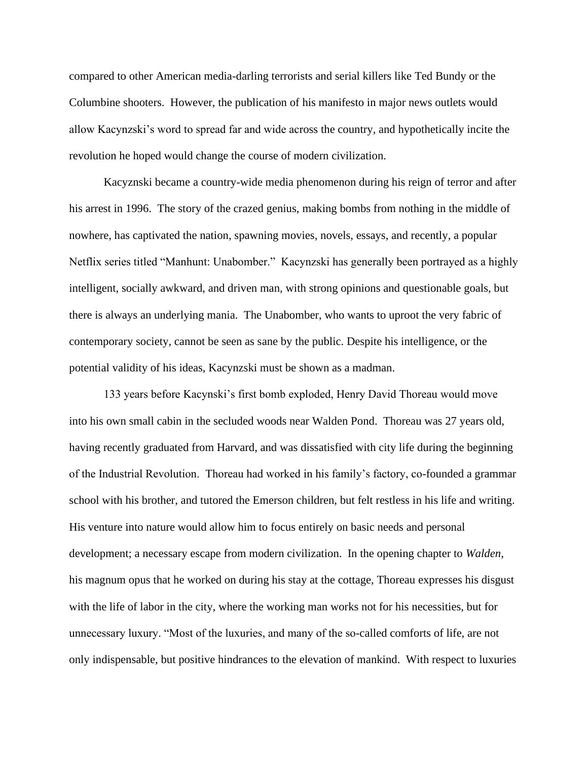compared to other American media-darling terrorists and serial killers like Ted Bundy or the Columbine shooters. However, the publication of his manifesto in major news outlets would allow Kacynzski's word to spread far and wide across the country, and hypothetically incite the revolution he hoped would change the course of modern civilization.

Kacyznski became a country-wide media phenomenon during his reign of terror and after his arrest in 1996. The story of the crazed genius, making bombs from nothing in the middle of nowhere, has captivated the nation, spawning movies, novels, essays, and recently, a popular Netflix series titled "Manhunt: Unabomber." Kacynzski has generally been portrayed as a highly intelligent, socially awkward, and driven man, with strong opinions and questionable goals, but there is always an underlying mania. The Unabomber, who wants to uproot the very fabric of contemporary society, cannot be seen as sane by the public. Despite his intelligence, or the potential validity of his ideas, Kacynzski must be shown as a madman.

133 years before Kacynski's first bomb exploded, Henry David Thoreau would move into his own small cabin in the secluded woods near Walden Pond. Thoreau was 27 years old, having recently graduated from Harvard, and was dissatisfied with city life during the beginning of the Industrial Revolution. Thoreau had worked in his family's factory, co-founded a grammar school with his brother, and tutored the Emerson children, but felt restless in his life and writing. His venture into nature would allow him to focus entirely on basic needs and personal development; a necessary escape from modern civilization. In the opening chapter to *Walden*, his magnum opus that he worked on during his stay at the cottage, Thoreau expresses his disgust with the life of labor in the city, where the working man works not for his necessities, but for unnecessary luxury. "Most of the luxuries, and many of the so-called comforts of life, are not only indispensable, but positive hindrances to the elevation of mankind. With respect to luxuries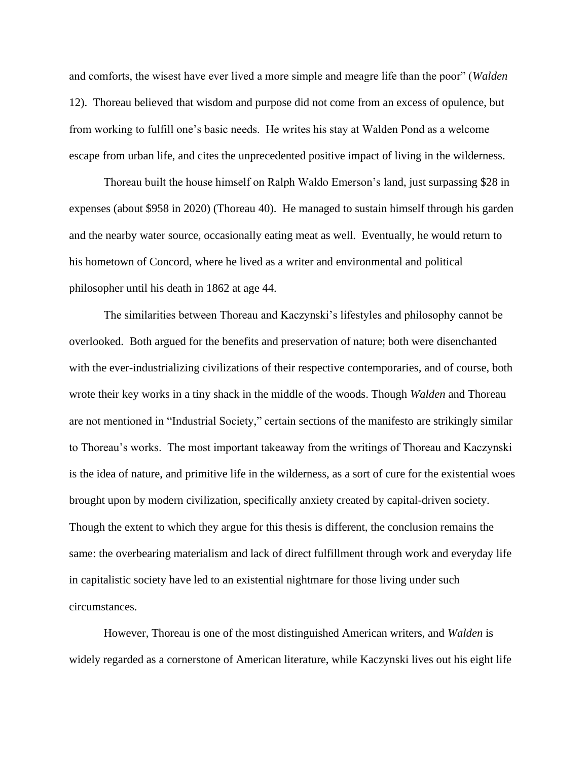and comforts, the wisest have ever lived a more simple and meagre life than the poor" (*Walden*  12). Thoreau believed that wisdom and purpose did not come from an excess of opulence, but from working to fulfill one's basic needs. He writes his stay at Walden Pond as a welcome escape from urban life, and cites the unprecedented positive impact of living in the wilderness.

Thoreau built the house himself on Ralph Waldo Emerson's land, just surpassing \$28 in expenses (about \$958 in 2020) (Thoreau 40). He managed to sustain himself through his garden and the nearby water source, occasionally eating meat as well. Eventually, he would return to his hometown of Concord, where he lived as a writer and environmental and political philosopher until his death in 1862 at age 44.

The similarities between Thoreau and Kaczynski's lifestyles and philosophy cannot be overlooked. Both argued for the benefits and preservation of nature; both were disenchanted with the ever-industrializing civilizations of their respective contemporaries, and of course, both wrote their key works in a tiny shack in the middle of the woods. Though *Walden* and Thoreau are not mentioned in "Industrial Society," certain sections of the manifesto are strikingly similar to Thoreau's works. The most important takeaway from the writings of Thoreau and Kaczynski is the idea of nature, and primitive life in the wilderness, as a sort of cure for the existential woes brought upon by modern civilization, specifically anxiety created by capital-driven society. Though the extent to which they argue for this thesis is different, the conclusion remains the same: the overbearing materialism and lack of direct fulfillment through work and everyday life in capitalistic society have led to an existential nightmare for those living under such circumstances.

However, Thoreau is one of the most distinguished American writers, and *Walden* is widely regarded as a cornerstone of American literature, while Kaczynski lives out his eight life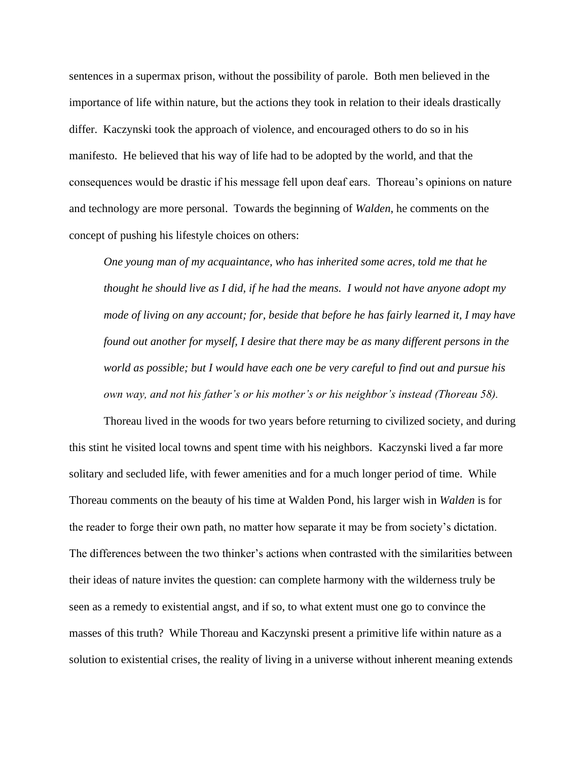sentences in a supermax prison, without the possibility of parole. Both men believed in the importance of life within nature, but the actions they took in relation to their ideals drastically differ. Kaczynski took the approach of violence, and encouraged others to do so in his manifesto. He believed that his way of life had to be adopted by the world, and that the consequences would be drastic if his message fell upon deaf ears. Thoreau's opinions on nature and technology are more personal. Towards the beginning of *Walden*, he comments on the concept of pushing his lifestyle choices on others:

*One young man of my acquaintance, who has inherited some acres, told me that he thought he should live as I did, if he had the means. I would not have anyone adopt my mode of living on any account; for, beside that before he has fairly learned it, I may have found out another for myself, I desire that there may be as many different persons in the world as possible; but I would have each one be very careful to find out and pursue his own way, and not his father's or his mother's or his neighbor's instead (Thoreau 58).*

Thoreau lived in the woods for two years before returning to civilized society, and during this stint he visited local towns and spent time with his neighbors. Kaczynski lived a far more solitary and secluded life, with fewer amenities and for a much longer period of time. While Thoreau comments on the beauty of his time at Walden Pond, his larger wish in *Walden* is for the reader to forge their own path, no matter how separate it may be from society's dictation. The differences between the two thinker's actions when contrasted with the similarities between their ideas of nature invites the question: can complete harmony with the wilderness truly be seen as a remedy to existential angst, and if so, to what extent must one go to convince the masses of this truth? While Thoreau and Kaczynski present a primitive life within nature as a solution to existential crises, the reality of living in a universe without inherent meaning extends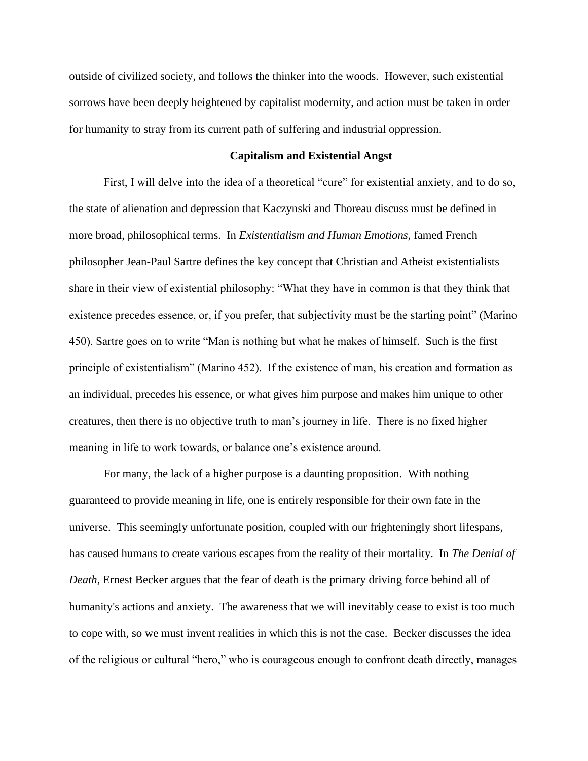outside of civilized society, and follows the thinker into the woods. However, such existential sorrows have been deeply heightened by capitalist modernity, and action must be taken in order for humanity to stray from its current path of suffering and industrial oppression.

## **Capitalism and Existential Angst**

First, I will delve into the idea of a theoretical "cure" for existential anxiety, and to do so, the state of alienation and depression that Kaczynski and Thoreau discuss must be defined in more broad, philosophical terms. In *Existentialism and Human Emotions,* famed French philosopher Jean-Paul Sartre defines the key concept that Christian and Atheist existentialists share in their view of existential philosophy: "What they have in common is that they think that existence precedes essence, or, if you prefer, that subjectivity must be the starting point" (Marino 450). Sartre goes on to write "Man is nothing but what he makes of himself. Such is the first principle of existentialism" (Marino 452). If the existence of man, his creation and formation as an individual, precedes his essence, or what gives him purpose and makes him unique to other creatures, then there is no objective truth to man's journey in life. There is no fixed higher meaning in life to work towards, or balance one's existence around.

For many, the lack of a higher purpose is a daunting proposition. With nothing guaranteed to provide meaning in life, one is entirely responsible for their own fate in the universe. This seemingly unfortunate position, coupled with our frighteningly short lifespans, has caused humans to create various escapes from the reality of their mortality. In *The Denial of Death*, Ernest Becker argues that the fear of death is the primary driving force behind all of humanity's actions and anxiety. The awareness that we will inevitably cease to exist is too much to cope with, so we must invent realities in which this is not the case. Becker discusses the idea of the religious or cultural "hero," who is courageous enough to confront death directly, manages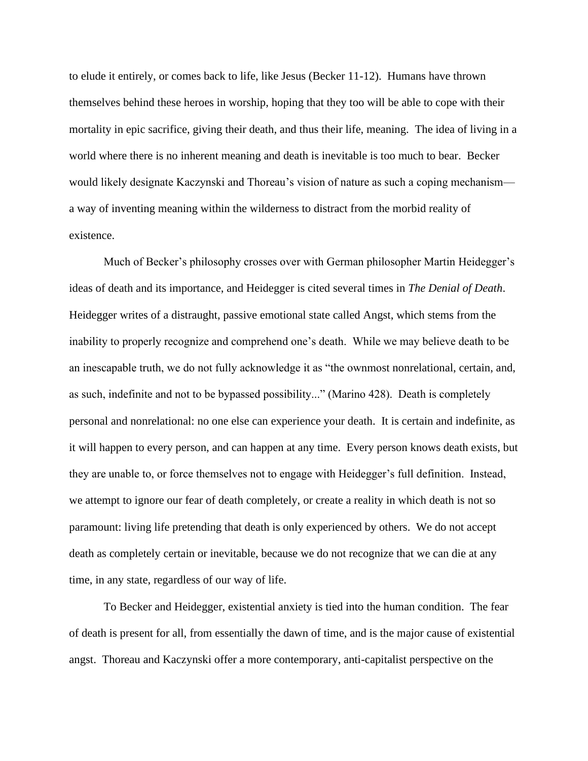to elude it entirely, or comes back to life, like Jesus (Becker 11-12). Humans have thrown themselves behind these heroes in worship, hoping that they too will be able to cope with their mortality in epic sacrifice, giving their death, and thus their life, meaning. The idea of living in a world where there is no inherent meaning and death is inevitable is too much to bear. Becker would likely designate Kaczynski and Thoreau's vision of nature as such a coping mechanism a way of inventing meaning within the wilderness to distract from the morbid reality of existence.

Much of Becker's philosophy crosses over with German philosopher Martin Heidegger's ideas of death and its importance, and Heidegger is cited several times in *The Denial of Death*. Heidegger writes of a distraught, passive emotional state called Angst, which stems from the inability to properly recognize and comprehend one's death. While we may believe death to be an inescapable truth, we do not fully acknowledge it as "the ownmost nonrelational, certain, and, as such, indefinite and not to be bypassed possibility..." (Marino 428). Death is completely personal and nonrelational: no one else can experience your death. It is certain and indefinite, as it will happen to every person, and can happen at any time. Every person knows death exists, but they are unable to, or force themselves not to engage with Heidegger's full definition. Instead, we attempt to ignore our fear of death completely, or create a reality in which death is not so paramount: living life pretending that death is only experienced by others. We do not accept death as completely certain or inevitable, because we do not recognize that we can die at any time, in any state, regardless of our way of life.

To Becker and Heidegger, existential anxiety is tied into the human condition. The fear of death is present for all, from essentially the dawn of time, and is the major cause of existential angst. Thoreau and Kaczynski offer a more contemporary, anti-capitalist perspective on the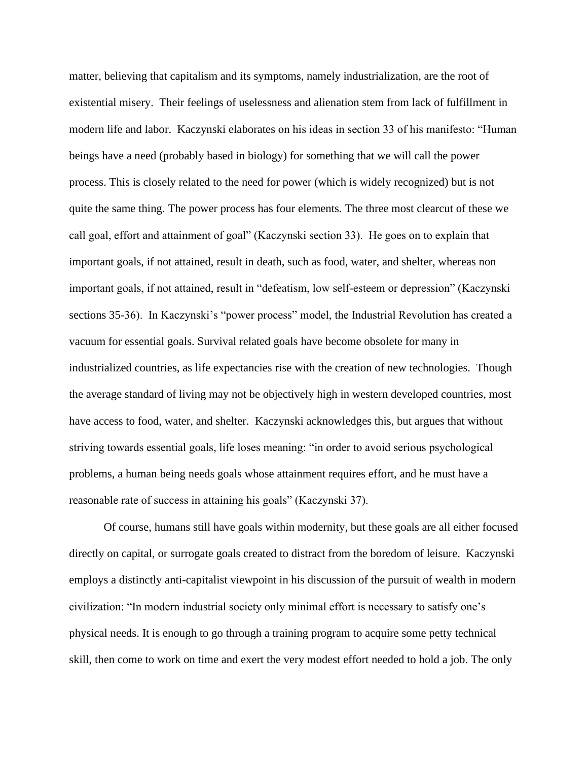matter, believing that capitalism and its symptoms, namely industrialization, are the root of existential misery. Their feelings of uselessness and alienation stem from lack of fulfillment in modern life and labor. Kaczynski elaborates on his ideas in section 33 of his manifesto: "Human beings have a need (probably based in biology) for something that we will call the power process. This is closely related to the need for power (which is widely recognized) but is not quite the same thing. The power process has four elements. The three most clearcut of these we call goal, effort and attainment of goal" (Kaczynski section 33). He goes on to explain that important goals, if not attained, result in death, such as food, water, and shelter, whereas non important goals, if not attained, result in "defeatism, low self-esteem or depression" (Kaczynski sections 35-36). In Kaczynski's "power process" model, the Industrial Revolution has created a vacuum for essential goals. Survival related goals have become obsolete for many in industrialized countries, as life expectancies rise with the creation of new technologies. Though the average standard of living may not be objectively high in western developed countries, most have access to food, water, and shelter. Kaczynski acknowledges this, but argues that without striving towards essential goals, life loses meaning: "in order to avoid serious psychological problems, a human being needs goals whose attainment requires effort, and he must have a reasonable rate of success in attaining his goals" (Kaczynski 37).

Of course, humans still have goals within modernity, but these goals are all either focused directly on capital, or surrogate goals created to distract from the boredom of leisure. Kaczynski employs a distinctly anti-capitalist viewpoint in his discussion of the pursuit of wealth in modern civilization: "In modern industrial society only minimal effort is necessary to satisfy one's physical needs. It is enough to go through a training program to acquire some petty technical skill, then come to work on time and exert the very modest effort needed to hold a job. The only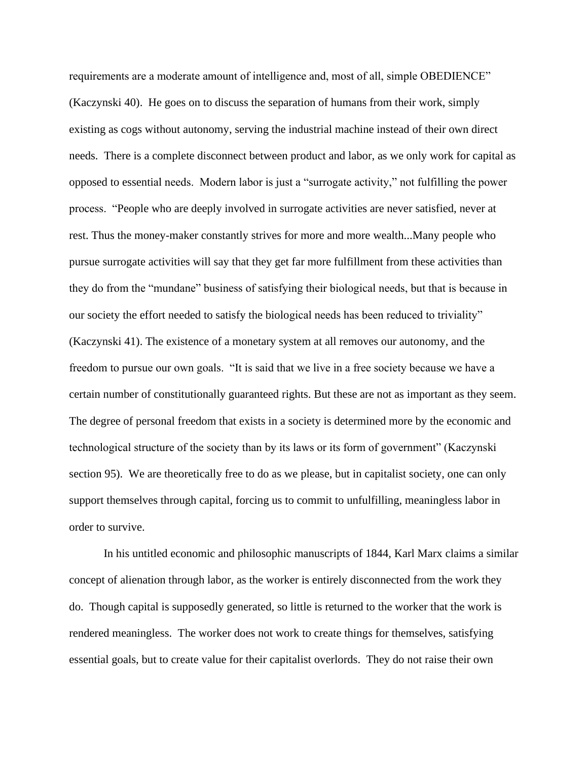requirements are a moderate amount of intelligence and, most of all, simple OBEDIENCE" (Kaczynski 40). He goes on to discuss the separation of humans from their work, simply existing as cogs without autonomy, serving the industrial machine instead of their own direct needs. There is a complete disconnect between product and labor, as we only work for capital as opposed to essential needs. Modern labor is just a "surrogate activity," not fulfilling the power process. "People who are deeply involved in surrogate activities are never satisfied, never at rest. Thus the money-maker constantly strives for more and more wealth...Many people who pursue surrogate activities will say that they get far more fulfillment from these activities than they do from the "mundane" business of satisfying their biological needs, but that is because in our society the effort needed to satisfy the biological needs has been reduced to triviality" (Kaczynski 41). The existence of a monetary system at all removes our autonomy, and the freedom to pursue our own goals. "It is said that we live in a free society because we have a certain number of constitutionally guaranteed rights. But these are not as important as they seem. The degree of personal freedom that exists in a society is determined more by the economic and technological structure of the society than by its laws or its form of government" (Kaczynski section 95). We are theoretically free to do as we please, but in capitalist society, one can only support themselves through capital, forcing us to commit to unfulfilling, meaningless labor in order to survive.

In his untitled economic and philosophic manuscripts of 1844, Karl Marx claims a similar concept of alienation through labor, as the worker is entirely disconnected from the work they do. Though capital is supposedly generated, so little is returned to the worker that the work is rendered meaningless. The worker does not work to create things for themselves, satisfying essential goals, but to create value for their capitalist overlords. They do not raise their own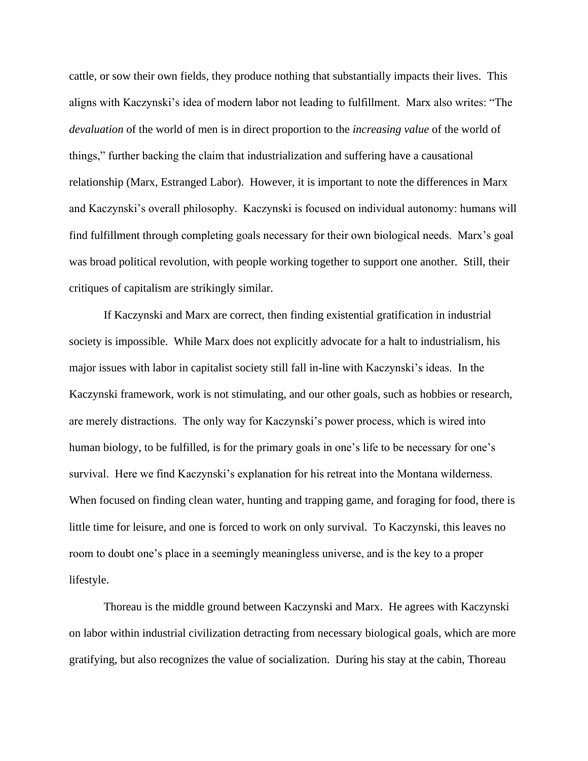cattle, or sow their own fields, they produce nothing that substantially impacts their lives. This aligns with Kaczynski's idea of modern labor not leading to fulfillment. Marx also writes: "The *devaluation* of the world of men is in direct proportion to the *increasing value* of the world of things," further backing the claim that industrialization and suffering have a causational relationship (Marx, Estranged Labor). However, it is important to note the differences in Marx and Kaczynski's overall philosophy. Kaczynski is focused on individual autonomy: humans will find fulfillment through completing goals necessary for their own biological needs. Marx's goal was broad political revolution, with people working together to support one another. Still, their critiques of capitalism are strikingly similar.

If Kaczynski and Marx are correct, then finding existential gratification in industrial society is impossible. While Marx does not explicitly advocate for a halt to industrialism, his major issues with labor in capitalist society still fall in-line with Kaczynski's ideas. In the Kaczynski framework, work is not stimulating, and our other goals, such as hobbies or research, are merely distractions. The only way for Kaczynski's power process, which is wired into human biology, to be fulfilled, is for the primary goals in one's life to be necessary for one's survival. Here we find Kaczynski's explanation for his retreat into the Montana wilderness. When focused on finding clean water, hunting and trapping game, and foraging for food, there is little time for leisure, and one is forced to work on only survival. To Kaczynski, this leaves no room to doubt one's place in a seemingly meaningless universe, and is the key to a proper lifestyle.

Thoreau is the middle ground between Kaczynski and Marx. He agrees with Kaczynski on labor within industrial civilization detracting from necessary biological goals, which are more gratifying, but also recognizes the value of socialization. During his stay at the cabin, Thoreau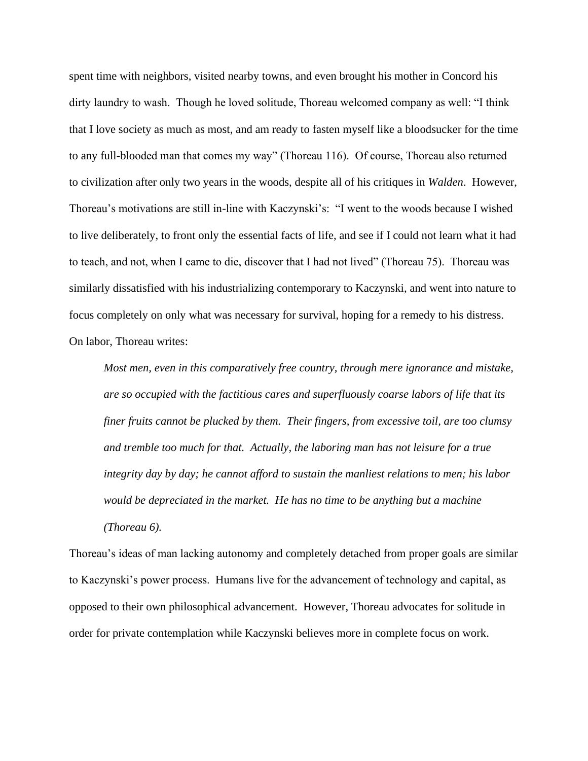spent time with neighbors, visited nearby towns, and even brought his mother in Concord his dirty laundry to wash. Though he loved solitude, Thoreau welcomed company as well: "I think that I love society as much as most, and am ready to fasten myself like a bloodsucker for the time to any full-blooded man that comes my way" (Thoreau 116). Of course, Thoreau also returned to civilization after only two years in the woods, despite all of his critiques in *Walden*. However, Thoreau's motivations are still in-line with Kaczynski's: "I went to the woods because I wished to live deliberately, to front only the essential facts of life, and see if I could not learn what it had to teach, and not, when I came to die, discover that I had not lived" (Thoreau 75). Thoreau was similarly dissatisfied with his industrializing contemporary to Kaczynski, and went into nature to focus completely on only what was necessary for survival, hoping for a remedy to his distress. On labor, Thoreau writes:

*Most men, even in this comparatively free country, through mere ignorance and mistake, are so occupied with the factitious cares and superfluously coarse labors of life that its finer fruits cannot be plucked by them. Their fingers, from excessive toil, are too clumsy and tremble too much for that. Actually, the laboring man has not leisure for a true integrity day by day; he cannot afford to sustain the manliest relations to men; his labor would be depreciated in the market. He has no time to be anything but a machine (Thoreau 6).*

Thoreau's ideas of man lacking autonomy and completely detached from proper goals are similar to Kaczynski's power process. Humans live for the advancement of technology and capital, as opposed to their own philosophical advancement. However, Thoreau advocates for solitude in order for private contemplation while Kaczynski believes more in complete focus on work.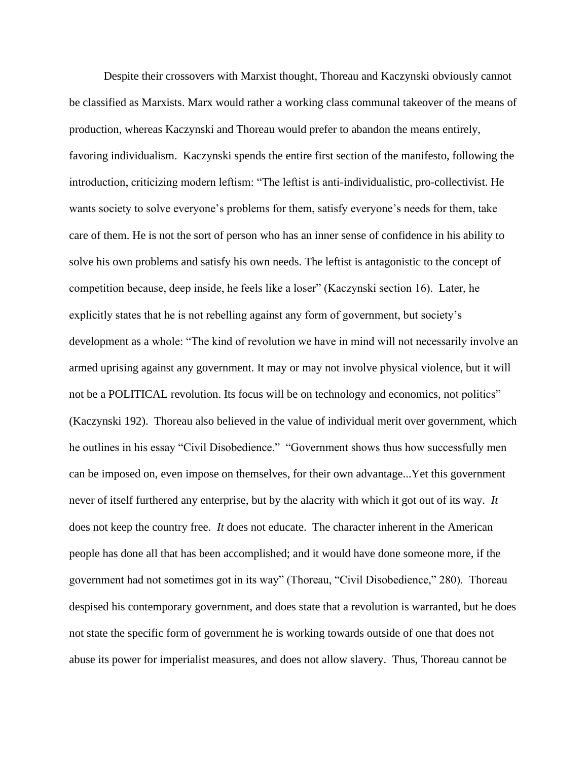Despite their crossovers with Marxist thought, Thoreau and Kaczynski obviously cannot be classified as Marxists. Marx would rather a working class communal takeover of the means of production, whereas Kaczynski and Thoreau would prefer to abandon the means entirely, favoring individualism. Kaczynski spends the entire first section of the manifesto, following the introduction, criticizing modern leftism: "The leftist is anti-individualistic, pro-collectivist. He wants society to solve everyone's problems for them, satisfy everyone's needs for them, take care of them. He is not the sort of person who has an inner sense of confidence in his ability to solve his own problems and satisfy his own needs. The leftist is antagonistic to the concept of competition because, deep inside, he feels like a loser" (Kaczynski section 16). Later, he explicitly states that he is not rebelling against any form of government, but society's development as a whole: "The kind of revolution we have in mind will not necessarily involve an armed uprising against any government. It may or may not involve physical violence, but it will not be a POLITICAL revolution. Its focus will be on technology and economics, not politics" (Kaczynski 192). Thoreau also believed in the value of individual merit over government, which he outlines in his essay "Civil Disobedience." "Government shows thus how successfully men can be imposed on, even impose on themselves, for their own advantage...Yet this government never of itself furthered any enterprise, but by the alacrity with which it got out of its way. *It*  does not keep the country free. *It* does not educate. The character inherent in the American people has done all that has been accomplished; and it would have done someone more, if the government had not sometimes got in its way" (Thoreau, "Civil Disobedience," 280). Thoreau despised his contemporary government, and does state that a revolution is warranted, but he does not state the specific form of government he is working towards outside of one that does not abuse its power for imperialist measures, and does not allow slavery. Thus, Thoreau cannot be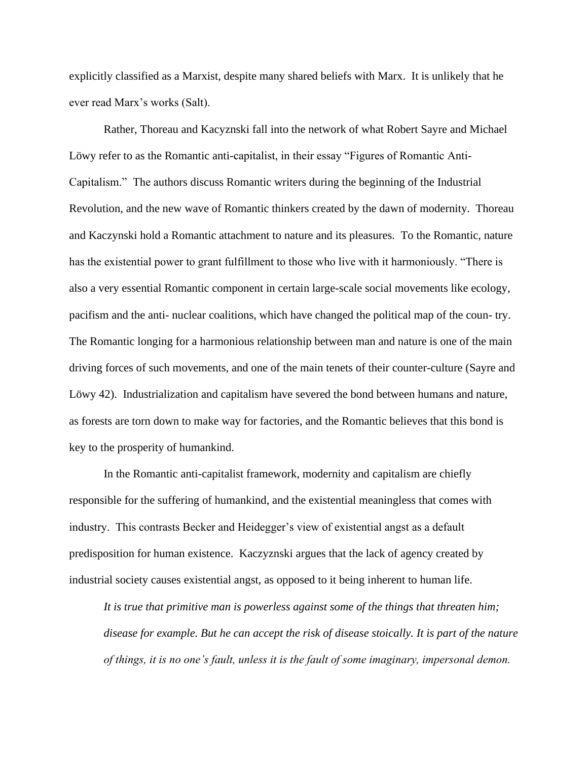explicitly classified as a Marxist, despite many shared beliefs with Marx. It is unlikely that he ever read Marx's works (Salt).

Rather, Thoreau and Kacyznski fall into the network of what Robert Sayre and Michael Löwy refer to as the Romantic anti-capitalist, in their essay "Figures of Romantic Anti-Capitalism." The authors discuss Romantic writers during the beginning of the Industrial Revolution, and the new wave of Romantic thinkers created by the dawn of modernity. Thoreau and Kaczynski hold a Romantic attachment to nature and its pleasures. To the Romantic, nature has the existential power to grant fulfillment to those who live with it harmoniously. "There is also a very essential Romantic component in certain large-scale social movements like ecology, pacifism and the anti- nuclear coalitions, which have changed the political map of the coun- try. The Romantic longing for a harmonious relationship between man and nature is one of the main driving forces of such movements, and one of the main tenets of their counter-culture (Sayre and Löwy 42). Industrialization and capitalism have severed the bond between humans and nature, as forests are torn down to make way for factories, and the Romantic believes that this bond is key to the prosperity of humankind.

In the Romantic anti-capitalist framework, modernity and capitalism are chiefly responsible for the suffering of humankind, and the existential meaningless that comes with industry. This contrasts Becker and Heidegger's view of existential angst as a default predisposition for human existence. Kaczyznski argues that the lack of agency created by industrial society causes existential angst, as opposed to it being inherent to human life.

*It is true that primitive man is powerless against some of the things that threaten him; disease for example. But he can accept the risk of disease stoically. It is part of the nature of things, it is no one's fault, unless it is the fault of some imaginary, impersonal demon.*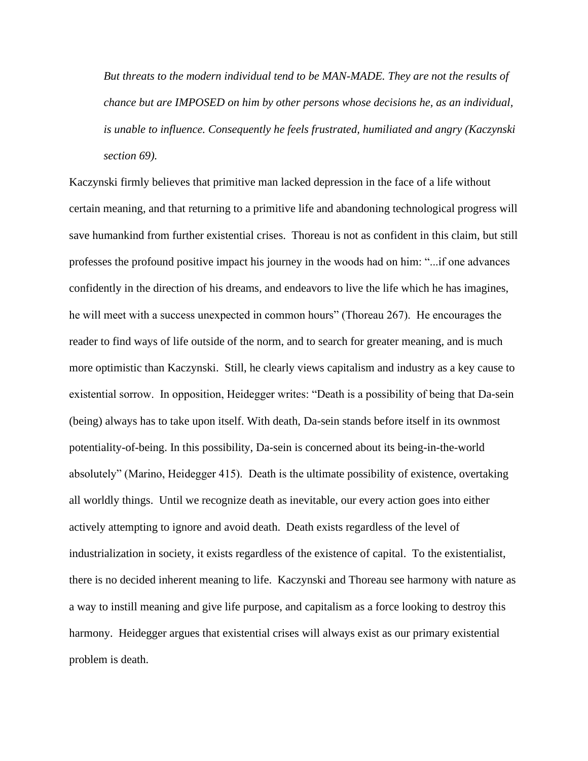*But threats to the modern individual tend to be MAN-MADE. They are not the results of chance but are IMPOSED on him by other persons whose decisions he, as an individual, is unable to influence. Consequently he feels frustrated, humiliated and angry (Kaczynski section 69).*

Kaczynski firmly believes that primitive man lacked depression in the face of a life without certain meaning, and that returning to a primitive life and abandoning technological progress will save humankind from further existential crises. Thoreau is not as confident in this claim, but still professes the profound positive impact his journey in the woods had on him: "...if one advances confidently in the direction of his dreams, and endeavors to live the life which he has imagines, he will meet with a success unexpected in common hours" (Thoreau 267). He encourages the reader to find ways of life outside of the norm, and to search for greater meaning, and is much more optimistic than Kaczynski. Still, he clearly views capitalism and industry as a key cause to existential sorrow. In opposition, Heidegger writes: "Death is a possibility of being that Da-sein (being) always has to take upon itself. With death, Da-sein stands before itself in its ownmost potentiality-of-being. In this possibility, Da-sein is concerned about its being-in-the-world absolutely" (Marino, Heidegger 415). Death is the ultimate possibility of existence, overtaking all worldly things. Until we recognize death as inevitable, our every action goes into either actively attempting to ignore and avoid death. Death exists regardless of the level of industrialization in society, it exists regardless of the existence of capital. To the existentialist, there is no decided inherent meaning to life. Kaczynski and Thoreau see harmony with nature as a way to instill meaning and give life purpose, and capitalism as a force looking to destroy this harmony. Heidegger argues that existential crises will always exist as our primary existential problem is death.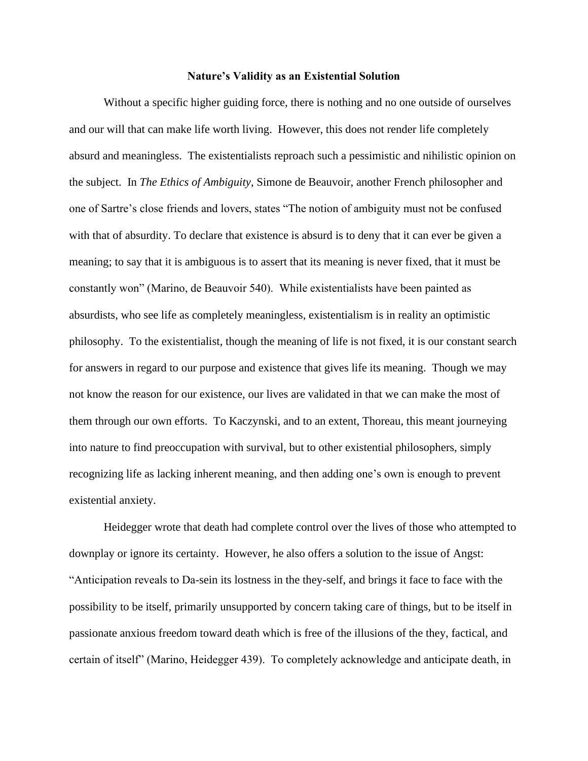#### **Nature's Validity as an Existential Solution**

Without a specific higher guiding force, there is nothing and no one outside of ourselves and our will that can make life worth living. However, this does not render life completely absurd and meaningless. The existentialists reproach such a pessimistic and nihilistic opinion on the subject. In *The Ethics of Ambiguity*, Simone de Beauvoir, another French philosopher and one of Sartre's close friends and lovers, states "The notion of ambiguity must not be confused with that of absurdity. To declare that existence is absurd is to deny that it can ever be given a meaning; to say that it is ambiguous is to assert that its meaning is never fixed, that it must be constantly won" (Marino, de Beauvoir 540). While existentialists have been painted as absurdists, who see life as completely meaningless, existentialism is in reality an optimistic philosophy. To the existentialist, though the meaning of life is not fixed, it is our constant search for answers in regard to our purpose and existence that gives life its meaning. Though we may not know the reason for our existence, our lives are validated in that we can make the most of them through our own efforts. To Kaczynski, and to an extent, Thoreau, this meant journeying into nature to find preoccupation with survival, but to other existential philosophers, simply recognizing life as lacking inherent meaning, and then adding one's own is enough to prevent existential anxiety.

Heidegger wrote that death had complete control over the lives of those who attempted to downplay or ignore its certainty. However, he also offers a solution to the issue of Angst: "Anticipation reveals to Da-sein its lostness in the they-self, and brings it face to face with the possibility to be itself, primarily unsupported by concern taking care of things, but to be itself in passionate anxious freedom toward death which is free of the illusions of the they, factical, and certain of itself" (Marino, Heidegger 439). To completely acknowledge and anticipate death, in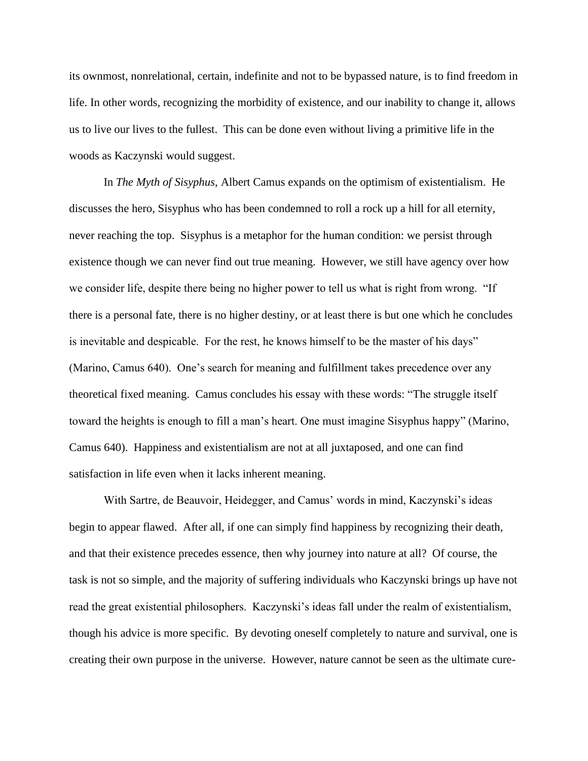its ownmost, nonrelational, certain, indefinite and not to be bypassed nature, is to find freedom in life. In other words, recognizing the morbidity of existence, and our inability to change it, allows us to live our lives to the fullest. This can be done even without living a primitive life in the woods as Kaczynski would suggest.

In *The Myth of Sisyphus*, Albert Camus expands on the optimism of existentialism. He discusses the hero, Sisyphus who has been condemned to roll a rock up a hill for all eternity, never reaching the top. Sisyphus is a metaphor for the human condition: we persist through existence though we can never find out true meaning. However, we still have agency over how we consider life, despite there being no higher power to tell us what is right from wrong. "If there is a personal fate, there is no higher destiny, or at least there is but one which he concludes is inevitable and despicable. For the rest, he knows himself to be the master of his days" (Marino, Camus 640). One's search for meaning and fulfillment takes precedence over any theoretical fixed meaning. Camus concludes his essay with these words: "The struggle itself toward the heights is enough to fill a man's heart. One must imagine Sisyphus happy" (Marino, Camus 640). Happiness and existentialism are not at all juxtaposed, and one can find satisfaction in life even when it lacks inherent meaning.

With Sartre, de Beauvoir, Heidegger, and Camus' words in mind, Kaczynski's ideas begin to appear flawed. After all, if one can simply find happiness by recognizing their death, and that their existence precedes essence, then why journey into nature at all? Of course, the task is not so simple, and the majority of suffering individuals who Kaczynski brings up have not read the great existential philosophers. Kaczynski's ideas fall under the realm of existentialism, though his advice is more specific. By devoting oneself completely to nature and survival, one is creating their own purpose in the universe. However, nature cannot be seen as the ultimate cure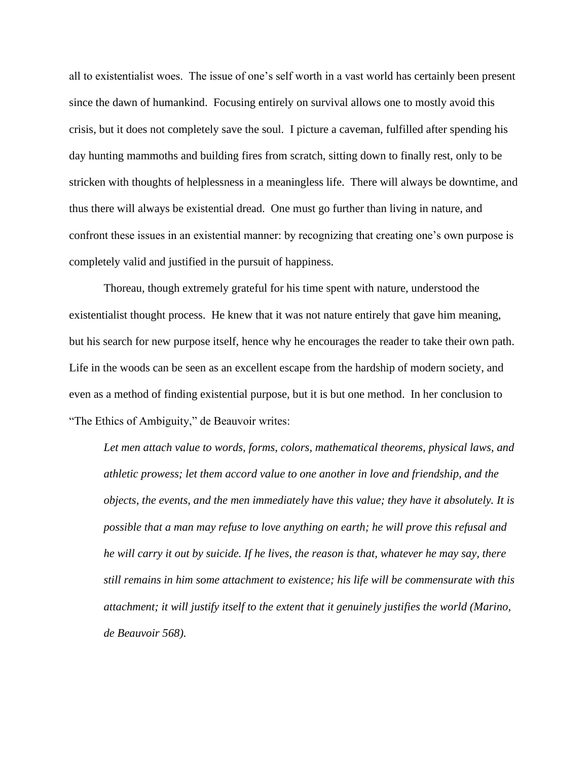all to existentialist woes. The issue of one's self worth in a vast world has certainly been present since the dawn of humankind. Focusing entirely on survival allows one to mostly avoid this crisis, but it does not completely save the soul. I picture a caveman, fulfilled after spending his day hunting mammoths and building fires from scratch, sitting down to finally rest, only to be stricken with thoughts of helplessness in a meaningless life. There will always be downtime, and thus there will always be existential dread. One must go further than living in nature, and confront these issues in an existential manner: by recognizing that creating one's own purpose is completely valid and justified in the pursuit of happiness.

Thoreau, though extremely grateful for his time spent with nature, understood the existentialist thought process. He knew that it was not nature entirely that gave him meaning, but his search for new purpose itself, hence why he encourages the reader to take their own path. Life in the woods can be seen as an excellent escape from the hardship of modern society, and even as a method of finding existential purpose, but it is but one method. In her conclusion to "The Ethics of Ambiguity," de Beauvoir writes:

Let men attach value to words, forms, colors, mathematical theorems, physical laws, and *athletic prowess; let them accord value to one another in love and friendship, and the objects, the events, and the men immediately have this value; they have it absolutely. It is possible that a man may refuse to love anything on earth; he will prove this refusal and he will carry it out by suicide. If he lives, the reason is that, whatever he may say, there still remains in him some attachment to existence; his life will be commensurate with this attachment; it will justify itself to the extent that it genuinely justifies the world (Marino, de Beauvoir 568).*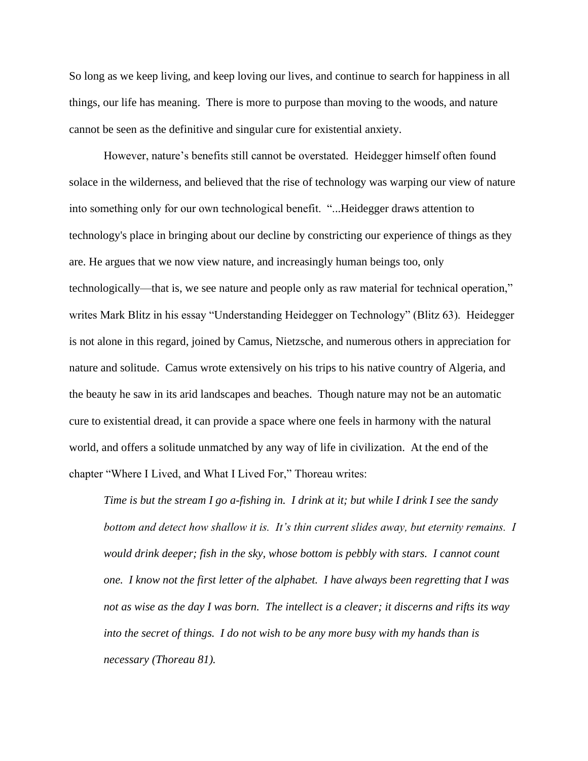So long as we keep living, and keep loving our lives, and continue to search for happiness in all things, our life has meaning. There is more to purpose than moving to the woods, and nature cannot be seen as the definitive and singular cure for existential anxiety.

However, nature's benefits still cannot be overstated. Heidegger himself often found solace in the wilderness, and believed that the rise of technology was warping our view of nature into something only for our own technological benefit. "...Heidegger draws attention to technology's place in bringing about our decline by constricting our experience of things as they are. He argues that we now view nature, and increasingly human beings too, only technologically—that is, we see nature and people only as raw material for technical operation," writes Mark Blitz in his essay "Understanding Heidegger on Technology" (Blitz 63). Heidegger is not alone in this regard, joined by Camus, Nietzsche, and numerous others in appreciation for nature and solitude. Camus wrote extensively on his trips to his native country of Algeria, and the beauty he saw in its arid landscapes and beaches. Though nature may not be an automatic cure to existential dread, it can provide a space where one feels in harmony with the natural world, and offers a solitude unmatched by any way of life in civilization. At the end of the chapter "Where I Lived, and What I Lived For," Thoreau writes:

*Time is but the stream I go a-fishing in. I drink at it; but while I drink I see the sandy bottom and detect how shallow it is. It's thin current slides away, but eternity remains. I would drink deeper; fish in the sky, whose bottom is pebbly with stars. I cannot count one. I know not the first letter of the alphabet. I have always been regretting that I was not as wise as the day I was born. The intellect is a cleaver; it discerns and rifts its way into the secret of things. I do not wish to be any more busy with my hands than is necessary (Thoreau 81).*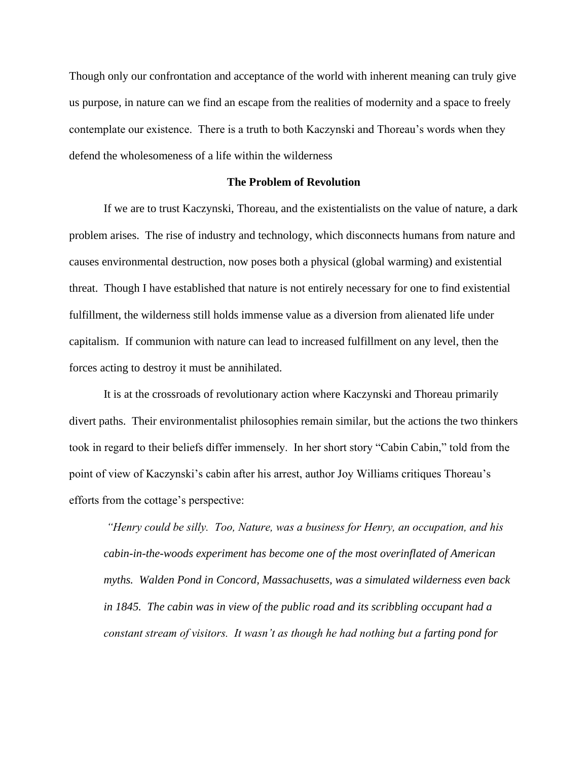Though only our confrontation and acceptance of the world with inherent meaning can truly give us purpose, in nature can we find an escape from the realities of modernity and a space to freely contemplate our existence. There is a truth to both Kaczynski and Thoreau's words when they defend the wholesomeness of a life within the wilderness

## **The Problem of Revolution**

If we are to trust Kaczynski, Thoreau, and the existentialists on the value of nature, a dark problem arises. The rise of industry and technology, which disconnects humans from nature and causes environmental destruction, now poses both a physical (global warming) and existential threat. Though I have established that nature is not entirely necessary for one to find existential fulfillment, the wilderness still holds immense value as a diversion from alienated life under capitalism. If communion with nature can lead to increased fulfillment on any level, then the forces acting to destroy it must be annihilated.

It is at the crossroads of revolutionary action where Kaczynski and Thoreau primarily divert paths. Their environmentalist philosophies remain similar, but the actions the two thinkers took in regard to their beliefs differ immensely. In her short story "Cabin Cabin," told from the point of view of Kaczynski's cabin after his arrest, author Joy Williams critiques Thoreau's efforts from the cottage's perspective:

*"Henry could be silly. Too, Nature, was a business for Henry, an occupation, and his cabin-in-the-woods experiment has become one of the most overinflated of American myths. Walden Pond in Concord, Massachusetts, was a simulated wilderness even back in 1845. The cabin was in view of the public road and its scribbling occupant had a constant stream of visitors. It wasn't as though he had nothing but a farting pond for*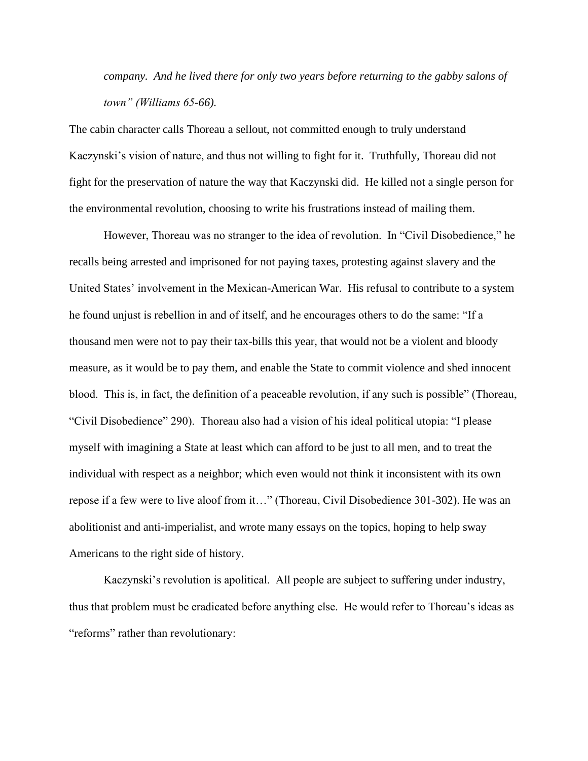*company. And he lived there for only two years before returning to the gabby salons of town" (Williams 65-66).*

The cabin character calls Thoreau a sellout, not committed enough to truly understand Kaczynski's vision of nature, and thus not willing to fight for it. Truthfully, Thoreau did not fight for the preservation of nature the way that Kaczynski did. He killed not a single person for the environmental revolution, choosing to write his frustrations instead of mailing them.

However, Thoreau was no stranger to the idea of revolution. In "Civil Disobedience," he recalls being arrested and imprisoned for not paying taxes, protesting against slavery and the United States' involvement in the Mexican-American War. His refusal to contribute to a system he found unjust is rebellion in and of itself, and he encourages others to do the same: "If a thousand men were not to pay their tax-bills this year, that would not be a violent and bloody measure, as it would be to pay them, and enable the State to commit violence and shed innocent blood. This is, in fact, the definition of a peaceable revolution, if any such is possible" (Thoreau, "Civil Disobedience" 290). Thoreau also had a vision of his ideal political utopia: "I please myself with imagining a State at least which can afford to be just to all men, and to treat the individual with respect as a neighbor; which even would not think it inconsistent with its own repose if a few were to live aloof from it…" (Thoreau, Civil Disobedience 301-302). He was an abolitionist and anti-imperialist, and wrote many essays on the topics, hoping to help sway Americans to the right side of history.

Kaczynski's revolution is apolitical. All people are subject to suffering under industry, thus that problem must be eradicated before anything else. He would refer to Thoreau's ideas as "reforms" rather than revolutionary: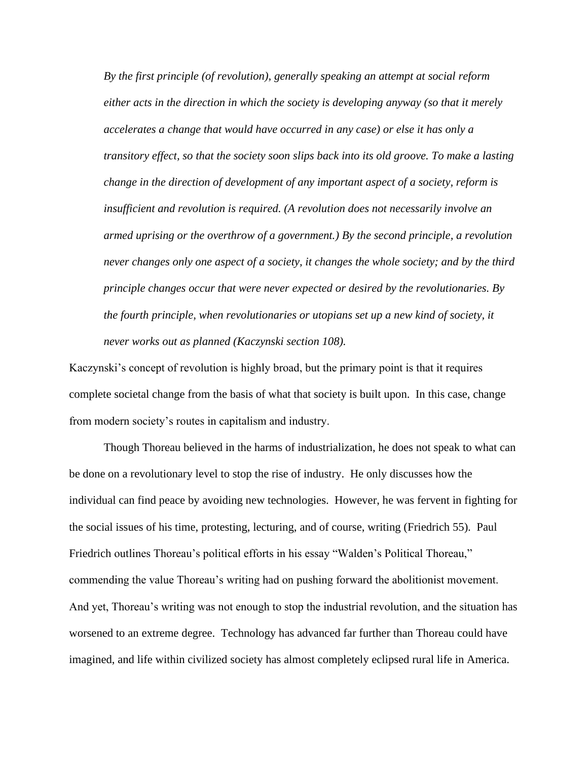*By the first principle (of revolution), generally speaking an attempt at social reform either acts in the direction in which the society is developing anyway (so that it merely accelerates a change that would have occurred in any case) or else it has only a transitory effect, so that the society soon slips back into its old groove. To make a lasting change in the direction of development of any important aspect of a society, reform is insufficient and revolution is required. (A revolution does not necessarily involve an armed uprising or the overthrow of a government.) By the second principle, a revolution never changes only one aspect of a society, it changes the whole society; and by the third principle changes occur that were never expected or desired by the revolutionaries. By the fourth principle, when revolutionaries or utopians set up a new kind of society, it never works out as planned (Kaczynski section 108).*

Kaczynski's concept of revolution is highly broad, but the primary point is that it requires complete societal change from the basis of what that society is built upon. In this case, change from modern society's routes in capitalism and industry.

Though Thoreau believed in the harms of industrialization, he does not speak to what can be done on a revolutionary level to stop the rise of industry. He only discusses how the individual can find peace by avoiding new technologies. However, he was fervent in fighting for the social issues of his time, protesting, lecturing, and of course, writing (Friedrich 55). Paul Friedrich outlines Thoreau's political efforts in his essay "Walden's Political Thoreau," commending the value Thoreau's writing had on pushing forward the abolitionist movement. And yet, Thoreau's writing was not enough to stop the industrial revolution, and the situation has worsened to an extreme degree. Technology has advanced far further than Thoreau could have imagined, and life within civilized society has almost completely eclipsed rural life in America.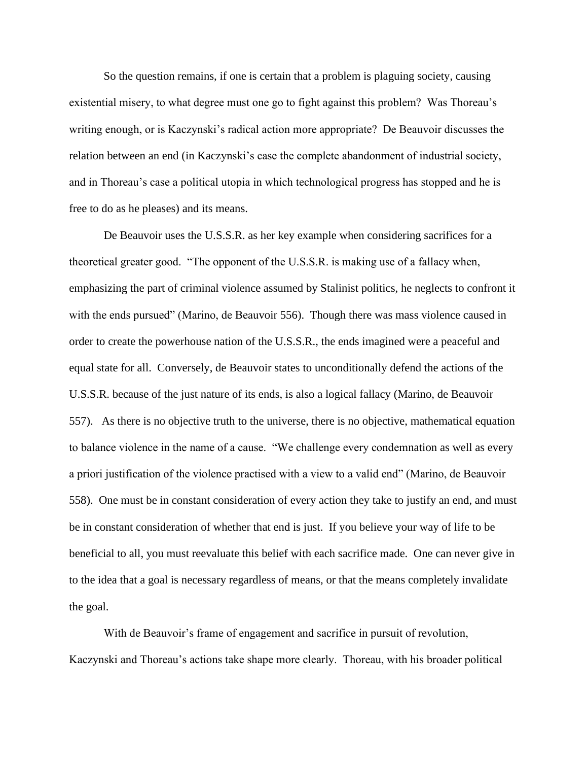So the question remains, if one is certain that a problem is plaguing society, causing existential misery, to what degree must one go to fight against this problem? Was Thoreau's writing enough, or is Kaczynski's radical action more appropriate? De Beauvoir discusses the relation between an end (in Kaczynski's case the complete abandonment of industrial society, and in Thoreau's case a political utopia in which technological progress has stopped and he is free to do as he pleases) and its means.

De Beauvoir uses the U.S.S.R. as her key example when considering sacrifices for a theoretical greater good. "The opponent of the U.S.S.R. is making use of a fallacy when, emphasizing the part of criminal violence assumed by Stalinist politics, he neglects to confront it with the ends pursued" (Marino, de Beauvoir 556). Though there was mass violence caused in order to create the powerhouse nation of the U.S.S.R., the ends imagined were a peaceful and equal state for all. Conversely, de Beauvoir states to unconditionally defend the actions of the U.S.S.R. because of the just nature of its ends, is also a logical fallacy (Marino, de Beauvoir 557). As there is no objective truth to the universe, there is no objective, mathematical equation to balance violence in the name of a cause. "We challenge every condemnation as well as every a priori justification of the violence practised with a view to a valid end" (Marino, de Beauvoir 558). One must be in constant consideration of every action they take to justify an end, and must be in constant consideration of whether that end is just. If you believe your way of life to be beneficial to all, you must reevaluate this belief with each sacrifice made. One can never give in to the idea that a goal is necessary regardless of means, or that the means completely invalidate the goal.

With de Beauvoir's frame of engagement and sacrifice in pursuit of revolution, Kaczynski and Thoreau's actions take shape more clearly. Thoreau, with his broader political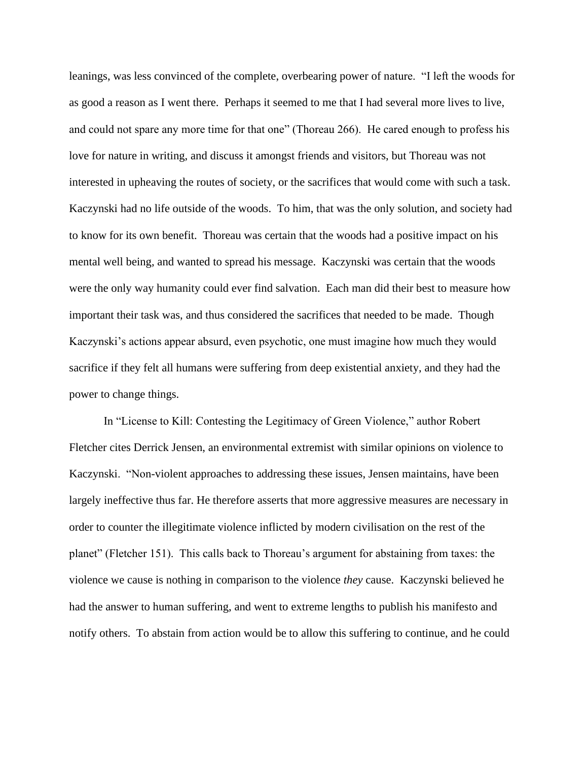leanings, was less convinced of the complete, overbearing power of nature. "I left the woods for as good a reason as I went there. Perhaps it seemed to me that I had several more lives to live, and could not spare any more time for that one" (Thoreau 266). He cared enough to profess his love for nature in writing, and discuss it amongst friends and visitors, but Thoreau was not interested in upheaving the routes of society, or the sacrifices that would come with such a task. Kaczynski had no life outside of the woods. To him, that was the only solution, and society had to know for its own benefit. Thoreau was certain that the woods had a positive impact on his mental well being, and wanted to spread his message. Kaczynski was certain that the woods were the only way humanity could ever find salvation. Each man did their best to measure how important their task was, and thus considered the sacrifices that needed to be made. Though Kaczynski's actions appear absurd, even psychotic, one must imagine how much they would sacrifice if they felt all humans were suffering from deep existential anxiety, and they had the power to change things.

In "License to Kill: Contesting the Legitimacy of Green Violence," author Robert Fletcher cites Derrick Jensen, an environmental extremist with similar opinions on violence to Kaczynski. "Non-violent approaches to addressing these issues, Jensen maintains, have been largely ineffective thus far. He therefore asserts that more aggressive measures are necessary in order to counter the illegitimate violence inflicted by modern civilisation on the rest of the planet" (Fletcher 151). This calls back to Thoreau's argument for abstaining from taxes: the violence we cause is nothing in comparison to the violence *they* cause. Kaczynski believed he had the answer to human suffering, and went to extreme lengths to publish his manifesto and notify others. To abstain from action would be to allow this suffering to continue, and he could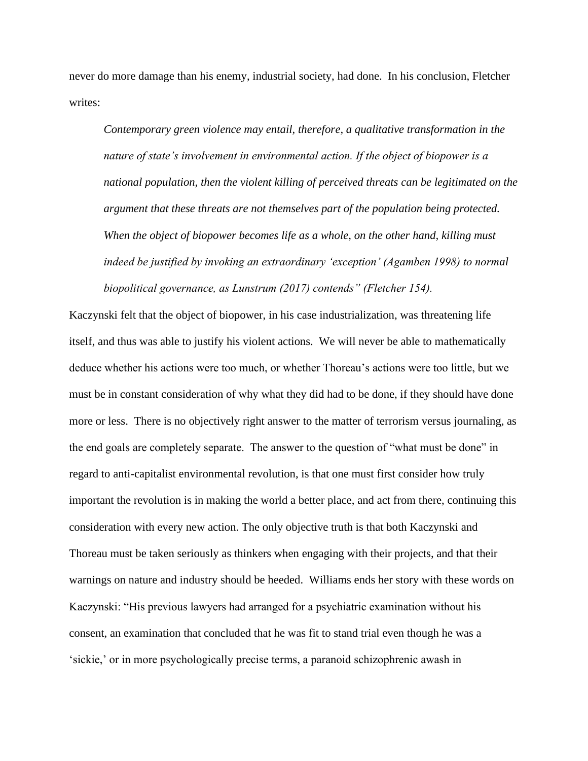never do more damage than his enemy, industrial society, had done. In his conclusion, Fletcher writes:

*Contemporary green violence may entail, therefore, a qualitative transformation in the nature of state's involvement in environmental action. If the object of biopower is a national population, then the violent killing of perceived threats can be legitimated on the argument that these threats are not themselves part of the population being protected. When the object of biopower becomes life as a whole, on the other hand, killing must indeed be justified by invoking an extraordinary 'exception' (Agamben 1998) to normal biopolitical governance, as Lunstrum (2017) contends" (Fletcher 154).* 

Kaczynski felt that the object of biopower, in his case industrialization, was threatening life itself, and thus was able to justify his violent actions. We will never be able to mathematically deduce whether his actions were too much, or whether Thoreau's actions were too little, but we must be in constant consideration of why what they did had to be done, if they should have done more or less. There is no objectively right answer to the matter of terrorism versus journaling, as the end goals are completely separate. The answer to the question of "what must be done" in regard to anti-capitalist environmental revolution, is that one must first consider how truly important the revolution is in making the world a better place, and act from there, continuing this consideration with every new action. The only objective truth is that both Kaczynski and Thoreau must be taken seriously as thinkers when engaging with their projects, and that their warnings on nature and industry should be heeded. Williams ends her story with these words on Kaczynski: "His previous lawyers had arranged for a psychiatric examination without his consent, an examination that concluded that he was fit to stand trial even though he was a 'sickie,' or in more psychologically precise terms, a paranoid schizophrenic awash in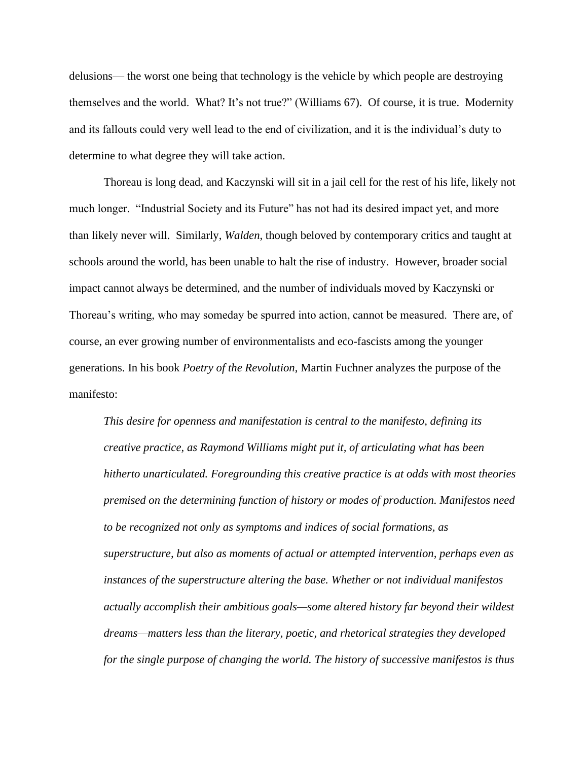delusions— the worst one being that technology is the vehicle by which people are destroying themselves and the world. What? It's not true?" (Williams 67). Of course, it is true. Modernity and its fallouts could very well lead to the end of civilization, and it is the individual's duty to determine to what degree they will take action.

Thoreau is long dead, and Kaczynski will sit in a jail cell for the rest of his life, likely not much longer. "Industrial Society and its Future" has not had its desired impact yet, and more than likely never will. Similarly, *Walden*, though beloved by contemporary critics and taught at schools around the world, has been unable to halt the rise of industry. However, broader social impact cannot always be determined, and the number of individuals moved by Kaczynski or Thoreau's writing, who may someday be spurred into action, cannot be measured. There are, of course, an ever growing number of environmentalists and eco-fascists among the younger generations. In his book *Poetry of the Revolution*, Martin Fuchner analyzes the purpose of the manifesto:

*This desire for openness and manifestation is central to the manifesto, defining its creative practice, as Raymond Williams might put it, of articulating what has been hitherto unarticulated. Foregrounding this creative practice is at odds with most theories premised on the determining function of history or modes of production. Manifestos need to be recognized not only as symptoms and indices of social formations, as superstructure, but also as moments of actual or attempted intervention, perhaps even as instances of the superstructure altering the base. Whether or not individual manifestos actually accomplish their ambitious goals—some altered history far beyond their wildest dreams—matters less than the literary, poetic, and rhetorical strategies they developed for the single purpose of changing the world. The history of successive manifestos is thus*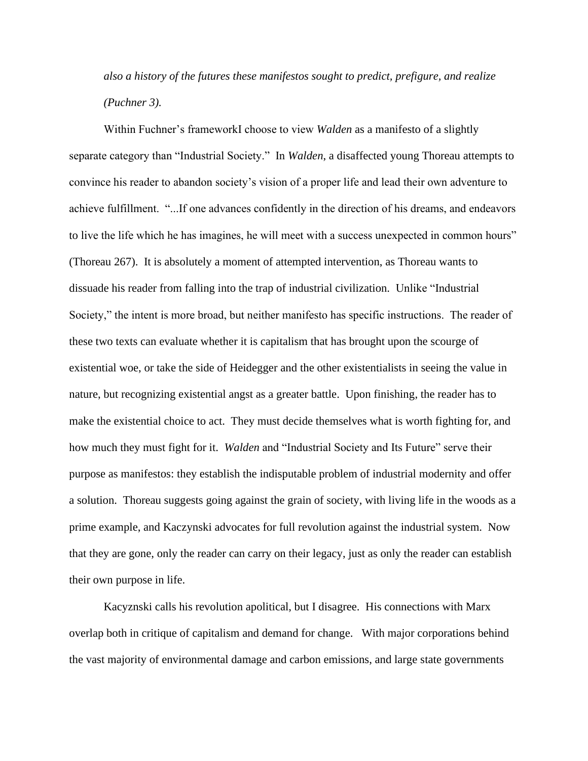*also a history of the futures these manifestos sought to predict, prefigure, and realize (Puchner 3).*

Within Fuchner's frameworkI choose to view *Walden* as a manifesto of a slightly separate category than "Industrial Society." In *Walden*, a disaffected young Thoreau attempts to convince his reader to abandon society's vision of a proper life and lead their own adventure to achieve fulfillment. "...If one advances confidently in the direction of his dreams, and endeavors to live the life which he has imagines, he will meet with a success unexpected in common hours" (Thoreau 267). It is absolutely a moment of attempted intervention, as Thoreau wants to dissuade his reader from falling into the trap of industrial civilization. Unlike "Industrial Society," the intent is more broad, but neither manifesto has specific instructions. The reader of these two texts can evaluate whether it is capitalism that has brought upon the scourge of existential woe, or take the side of Heidegger and the other existentialists in seeing the value in nature, but recognizing existential angst as a greater battle. Upon finishing, the reader has to make the existential choice to act. They must decide themselves what is worth fighting for, and how much they must fight for it. *Walden* and "Industrial Society and Its Future" serve their purpose as manifestos: they establish the indisputable problem of industrial modernity and offer a solution. Thoreau suggests going against the grain of society, with living life in the woods as a prime example, and Kaczynski advocates for full revolution against the industrial system. Now that they are gone, only the reader can carry on their legacy, just as only the reader can establish their own purpose in life.

Kacyznski calls his revolution apolitical, but I disagree. His connections with Marx overlap both in critique of capitalism and demand for change. With major corporations behind the vast majority of environmental damage and carbon emissions, and large state governments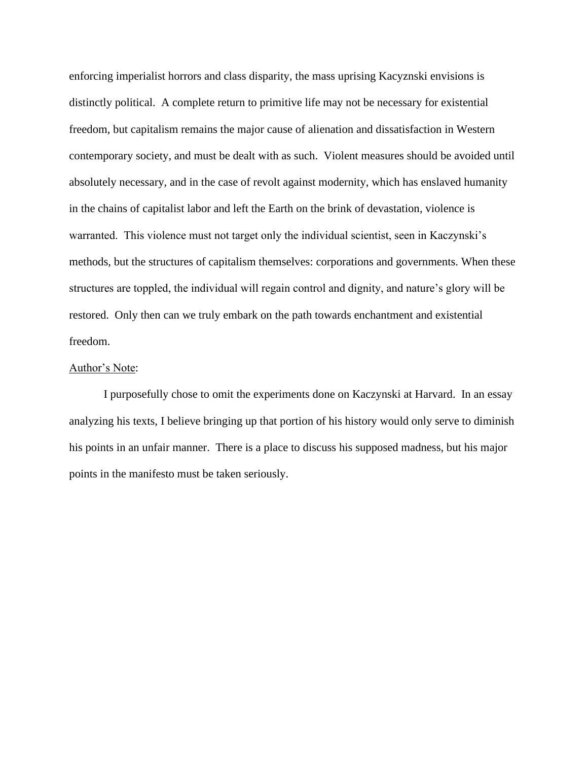enforcing imperialist horrors and class disparity, the mass uprising Kacyznski envisions is distinctly political. A complete return to primitive life may not be necessary for existential freedom, but capitalism remains the major cause of alienation and dissatisfaction in Western contemporary society, and must be dealt with as such. Violent measures should be avoided until absolutely necessary, and in the case of revolt against modernity, which has enslaved humanity in the chains of capitalist labor and left the Earth on the brink of devastation, violence is warranted. This violence must not target only the individual scientist, seen in Kaczynski's methods, but the structures of capitalism themselves: corporations and governments. When these structures are toppled, the individual will regain control and dignity, and nature's glory will be restored. Only then can we truly embark on the path towards enchantment and existential freedom.

## Author's Note:

I purposefully chose to omit the experiments done on Kaczynski at Harvard. In an essay analyzing his texts, I believe bringing up that portion of his history would only serve to diminish his points in an unfair manner. There is a place to discuss his supposed madness, but his major points in the manifesto must be taken seriously.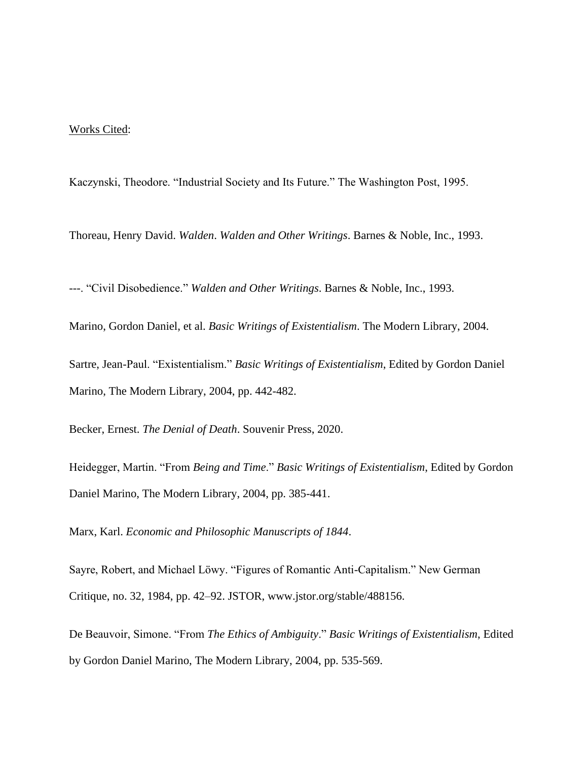### Works Cited:

Kaczynski, Theodore. "Industrial Society and Its Future." The Washington Post, 1995.

Thoreau, Henry David. *Walden*. *Walden and Other Writings*. Barnes & Noble, Inc., 1993.

---. "Civil Disobedience." *Walden and Other Writings*. Barnes & Noble, Inc., 1993.

Marino, Gordon Daniel, et al. *Basic Writings of Existentialism*. The Modern Library, 2004.

Sartre, Jean-Paul. "Existentialism." *Basic Writings of Existentialism*, Edited by Gordon Daniel Marino, The Modern Library, 2004, pp. 442-482.

Becker, Ernest. *The Denial of Death*. Souvenir Press, 2020.

Heidegger, Martin. "From *Being and Time*." *Basic Writings of Existentialism*, Edited by Gordon Daniel Marino, The Modern Library, 2004, pp. 385-441.

Marx, Karl. *Economic and Philosophic Manuscripts of 1844*.

Sayre, Robert, and Michael Löwy. "Figures of Romantic Anti-Capitalism." New German Critique, no. 32, 1984, pp. 42–92. JSTOR, www.jstor.org/stable/488156.

De Beauvoir, Simone. "From *The Ethics of Ambiguity*." *Basic Writings of Existentialism*, Edited by Gordon Daniel Marino, The Modern Library, 2004, pp. 535-569.